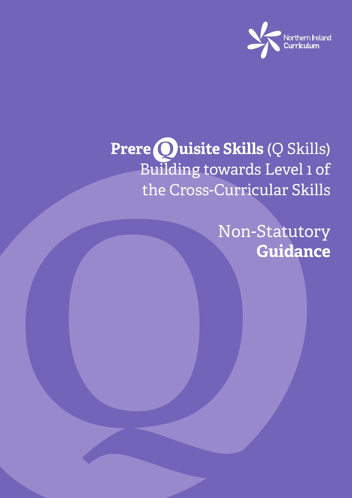

# **Prere Ouisite Skills** (Q Skills) Building towards Level 1 of the Cross-Curricular Skills

Non-Statutory **Guidance**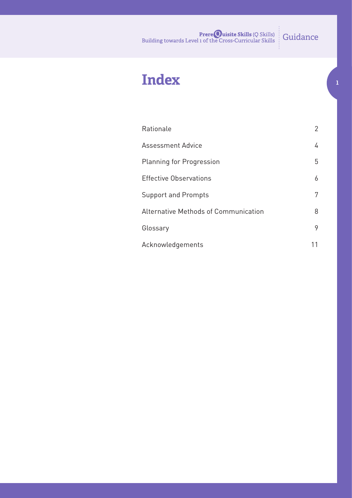## **Index 1**

| Rationale                            | 2 |
|--------------------------------------|---|
| <b>Assessment Advice</b>             | 4 |
| <b>Planning for Progression</b>      | 5 |
| <b>Effective Observations</b>        | 6 |
| <b>Support and Prompts</b>           | 7 |
| Alternative Methods of Communication | 8 |
| Glossary                             | 9 |
| Acknowledgements                     |   |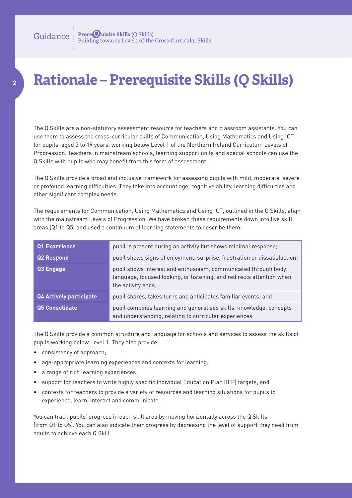### **Rationale – Prerequisite Skills (Q Skills)**

The Q Skills are a non-statutory assessment resource for teachers and classroom assistants. You can use them to assess the cross-curricular skills of Communication, Using Mathematics and Using ICT for pupils, aged 3 to 19 years, working below Level 1 of the Northern Ireland Curriculum Levels of Progression. Teachers in mainstream schools, learning support units and special schools can use the Q Skills with pupils who may benefit from this form of assessment.

The Q Skills provide a broad and inclusive framework for assessing pupils with mild, moderate, severe or profound learning difficulties. They take into account age, cognitive ability, learning difficulties and other significant complex needs.

The requirements for Communication, Using Mathematics and Using ICT, outlined in the Q Skills, align with the mainstream Levels of Progression. We have broken these requirements down into five skill areas (Q1 to Q5) and used a continuum of learning statements to describe them:

| Q1 Experience                  | pupil is present during an activity but shows minimal response;                                                                                               |
|--------------------------------|---------------------------------------------------------------------------------------------------------------------------------------------------------------|
| Q2 Respond                     | pupil shows signs of enjoyment, surprise, frustration or dissatisfaction;                                                                                     |
| Q3 Engage                      | pupil shows interest and enthusiasm, communicated through body<br>language, focused looking, or listening, and redirects attention when<br>the activity ends; |
| <b>Q4 Actively participate</b> | pupil shares, takes turns and anticipates familiar events; and                                                                                                |
| <b>Q5 Consolidate</b>          | pupil combines learning and generalises skills, knowledge, concepts<br>and understanding, relating to curricular experiences.                                 |

The Q Skills provide a common structure and language for schools and services to assess the skills of pupils working below Level 1. They also provide:

- • consistency of approach;
- age-appropriate learning experiences and contexts for learning;
- a range of rich learning experiences;
- • support for teachers to write highly specific Individual Education Plan (IEP) targets; and
- • contexts for teachers to provide a variety of resources and learning situations for pupils to experience, learn, interact and communicate.

You can track pupils' progress in each skill area by moving horizontally across the Q Skills (from Q1 to Q5). You can also indicate their progress by decreasing the level of support they need from adults to achieve each Q Skill.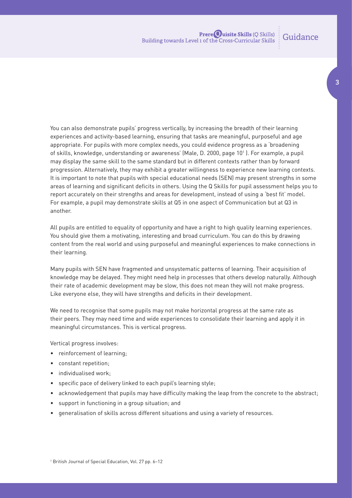**3**

You can also demonstrate pupils' progress vertically, by increasing the breadth of their learning experiences and activity-based learning, ensuring that tasks are meaningful, purposeful and age appropriate. For pupils with more complex needs, you could evidence progress as a 'broadening of skills, knowledge, understanding or awareness' (Male, D. 2000, page 101 ). For example, a pupil may display the same skill to the same standard but in different contexts rather than by forward progression. Alternatively, they may exhibit a greater willingness to experience new learning contexts. It is important to note that pupils with special educational needs (SEN) may present strengths in some areas of learning and significant deficits in others. Using the Q Skills for pupil assessment helps you to report accurately on their strengths and areas for development, instead of using a 'best fit' model. For example, a pupil may demonstrate skills at Q5 in one aspect of Communication but at Q3 in another.

All pupils are entitled to equality of opportunity and have a right to high quality learning experiences. You should give them a motivating, interesting and broad curriculum. You can do this by drawing content from the real world and using purposeful and meaningful experiences to make connections in their learning.

Many pupils with SEN have fragmented and unsystematic patterns of learning. Their acquisition of knowledge may be delayed. They might need help in processes that others develop naturally. Although their rate of academic development may be slow, this does not mean they will not make progress. Like everyone else, they will have strengths and deficits in their development.

We need to recognise that some pupils may not make horizontal progress at the same rate as their peers. They may need time and wide experiences to consolidate their learning and apply it in meaningful circumstances. This is vertical progress.

Vertical progress involves:

- reinforcement of learning;
- • constant repetition;
- individualised work;
- specific pace of delivery linked to each pupil's learning style;
- • acknowledgement that pupils may have difficulty making the leap from the concrete to the abstract;
- support in functioning in a group situation; and
- generalisation of skills across different situations and using a variety of resources.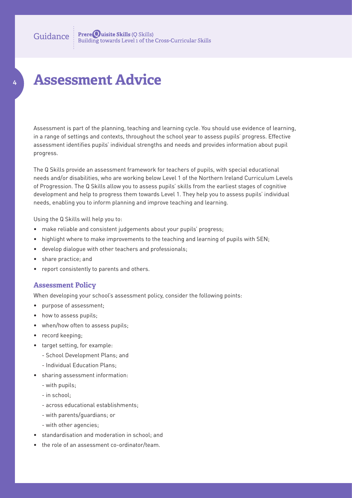### **Assessment Advice**

**4**

Assessment is part of the planning, teaching and learning cycle. You should use evidence of learning, in a range of settings and contexts, throughout the school year to assess pupils' progress. Effective assessment identifies pupils' individual strengths and needs and provides information about pupil progress.

The Q Skills provide an assessment framework for teachers of pupils, with special educational needs and/or disabilities, who are working below Level 1 of the Northern Ireland Curriculum Levels of Progression. The Q Skills allow you to assess pupils' skills from the earliest stages of cognitive development and help to progress them towards Level 1. They help you to assess pupils' individual needs, enabling you to inform planning and improve teaching and learning.

Using the Q Skills will help you to:

- make reliable and consistent judgements about your pupils' progress;
- highlight where to make improvements to the teaching and learning of pupils with SEN;
- • develop dialogue with other teachers and professionals;
- share practice; and
- report consistently to parents and others.

#### **Assessment Policy**

When developing your school's assessment policy, consider the following points:

- • purpose of assessment;
- how to assess pupils;
- when/how often to assess pupils;
- record keeping;
- • target setting, for example:
	- School Development Plans; and
	- Individual Education Plans;
- • sharing assessment information:
	- with pupils;
	- in school;
	- across educational establishments;
	- with parents/guardians; or
	- with other agencies;
- • standardisation and moderation in school; and
- the role of an assessment co-ordinator/team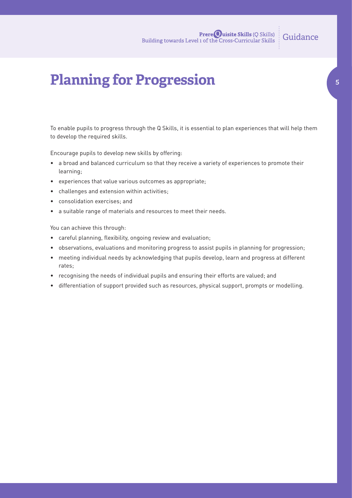### **Planning for Progression**

To enable pupils to progress through the Q Skills, it is essential to plan experiences that will help them to develop the required skills.

Encourage pupils to develop new skills by offering:

- • a broad and balanced curriculum so that they receive a variety of experiences to promote their learning;
- • experiences that value various outcomes as appropriate;
- • challenges and extension within activities;
- • consolidation exercises; and
- a suitable range of materials and resources to meet their needs.

You can achieve this through:

- • careful planning, flexibility, ongoing review and evaluation;
- observations, evaluations and monitoring progress to assist pupils in planning for progression;
- • meeting individual needs by acknowledging that pupils develop, learn and progress at different rates;
- • recognising the needs of individual pupils and ensuring their efforts are valued; and
- • differentiation of support provided such as resources, physical support, prompts or modelling.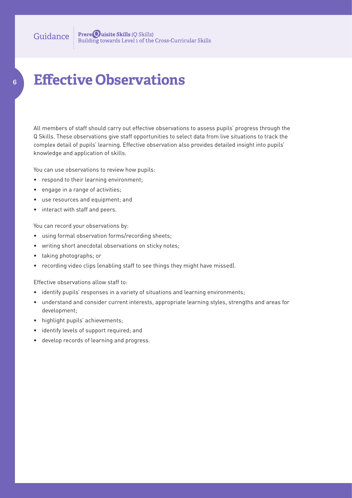### **Effective Observations**

All members of staff should carry out effective observations to assess pupils' progress through the Q Skills. These observations give staff opportunities to select data from live situations to track the complex detail of pupils' learning. Effective observation also provides detailed insight into pupils' knowledge and application of skills.

You can use observations to review how pupils:

- respond to their learning environment;
- • engage in a range of activities;

**6**

- • use resources and equipment; and
- • interact with staff and peers.

You can record your observations by:

- using formal observation forms/recording sheets;
- writing short anecdotal observations on sticky notes;
- • taking photographs; or
- recording video clips (enabling staff to see things they might have missed).

Effective observations allow staff to:

- identify pupils' responses in a variety of situations and learning environments;
- • understand and consider current interests, appropriate learning styles, strengths and areas for development;
- • highlight pupils' achievements;
- • identify levels of support required; and
- • develop records of learning and progress.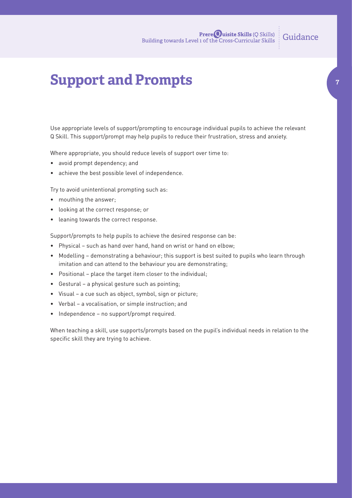**7**

### **Support and Prompts**

Use appropriate levels of support/prompting to encourage individual pupils to achieve the relevant Q Skill. This support/prompt may help pupils to reduce their frustration, stress and anxiety.

Where appropriate, you should reduce levels of support over time to:

- • avoid prompt dependency; and
- achieve the best possible level of independence.

Try to avoid unintentional prompting such as:

- mouthing the answer;
- • looking at the correct response; or
- • leaning towards the correct response.

Support/prompts to help pupils to achieve the desired response can be:

- Physical such as hand over hand, hand on wrist or hand on elbow;
- • Modelling demonstrating a behaviour; this support is best suited to pupils who learn through imitation and can attend to the behaviour you are demonstrating;
- • Positional place the target item closer to the individual;
- • Gestural a physical gesture such as pointing;
- • Visual a cue such as object, symbol, sign or picture;
- • Verbal a vocalisation, or simple instruction; and
- Independence no support/prompt required.

When teaching a skill, use supports/prompts based on the pupil's individual needs in relation to the specific skill they are trying to achieve.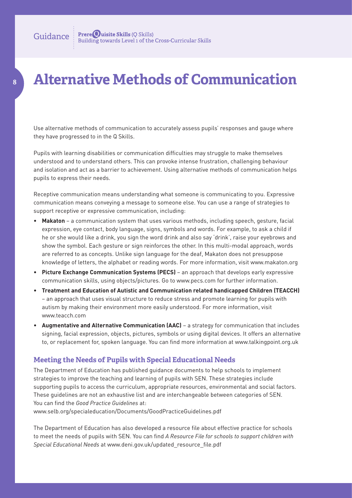**8**

### **Alternative Methods of Communication**

Use alternative methods of communication to accurately assess pupils' responses and gauge where they have progressed to in the Q Skills.

Pupils with learning disabilities or communication difficulties may struggle to make themselves understood and to understand others. This can provoke intense frustration, challenging behaviour and isolation and act as a barrier to achievement. Using alternative methods of communication helps pupils to express their needs.

Receptive communication means understanding what someone is communicating to you. Expressive communication means conveying a message to someone else. You can use a range of strategies to support receptive or expressive communication, including:

- • **Makaton** a communication system that uses various methods, including speech, gesture, facial expression, eye contact, body language, signs, symbols and words. For example, to ask a child if he or she would like a drink, you sign the word drink and also say 'drink', raise your eyebrows and show the symbol. Each gesture or sign reinforces the other. In this multi-modal approach, words are referred to as concepts. Unlike sign language for the deaf, Makaton does not presuppose knowledge of letters, the alphabet or reading words. For more information, visit www.makaton.org
- • **Picture Exchange Communication Systems (PECS)** an approach that develops early expressive communication skills, using objects/pictures. Go to www.pecs.com for further information.
- • **Treatment and Education of Autistic and Communication related handicapped Children (TEACCH)** – an approach that uses visual structure to reduce stress and promote learning for pupils with autism by making their environment more easily understood. For more information, visit www.teacch.com
- • **Augmentative and Alternative Communication (AAC)** a strategy for communication that includes signing, facial expression, objects, pictures, symbols or using digital devices. It offers an alternative to, or replacement for, spoken language. You can find more information at www.talkingpoint.org.uk

#### **Meeting the Needs of Pupils with Special Educational Needs**

The Department of Education has published guidance documents to help schools to implement strategies to improve the teaching and learning of pupils with SEN. These strategies include supporting pupils to access the curriculum, appropriate resources, environmental and social factors. These guidelines are not an exhaustive list and are interchangeable between categories of SEN. You can find the *Good Practice Guidelines* at:

www.selb.org/specialeducation/Documents/GoodPracticeGuidelines.pdf

The Department of Education has also developed a resource file about effective practice for schools to meet the needs of pupils with SEN. You can find *A Resource File for schools to support children with Special Educational Needs* at www.deni.gov.uk/updated\_resource\_file.pdf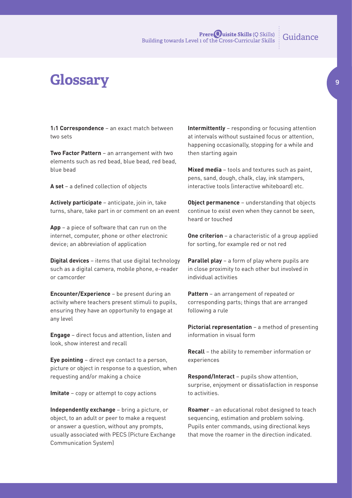### **Glossary**

**1:1 Correspondence** – an exact match between two sets

**Two Factor Pattern** – an arrangement with two elements such as red bead, blue bead, red bead, blue bead

**A set** – a defined collection of objects

**Actively participate** – anticipate, join in, take turns, share, take part in or comment on an event

**App** – a piece of software that can run on the internet, computer, phone or other electronic device; an abbreviation of application

**Digital devices** – items that use digital technology such as a digital camera, mobile phone, e-reader or camcorder

**Encounter/Experience** – be present during an activity where teachers present stimuli to pupils, ensuring they have an opportunity to engage at any level

**Engage** – direct focus and attention, listen and look, show interest and recall

**Eye pointing** – direct eye contact to a person, picture or object in response to a question, when requesting and/or making a choice

**Imitate** – copy or attempt to copy actions

**Independently exchange** – bring a picture, or object, to an adult or peer to make a request or answer a question, without any prompts, usually associated with PECS (Picture Exchange Communication System)

**Intermittently** – responding or focusing attention at intervals without sustained focus or attention, happening occasionally, stopping for a while and then starting again

**Mixed media** – tools and textures such as paint, pens, sand, dough, chalk, clay, ink stampers, interactive tools (interactive whiteboard) etc.

**Object permanence** – understanding that objects continue to exist even when they cannot be seen, heard or touched

**One criterion** – a characteristic of a group applied for sorting, for example red or not red

**Parallel play** – a form of play where pupils are in close proximity to each other but involved in individual activities

**Pattern** – an arrangement of repeated or corresponding parts; things that are arranged following a rule

**Pictorial representation** – a method of presenting information in visual form

**Recall** – the ability to remember information or experiences

**Respond/Interact** – pupils show attention, surprise, enjoyment or dissatisfaction in response to activities.

**Roamer** – an educational robot designed to teach sequencing, estimation and problem solving. Pupils enter commands, using directional keys that move the roamer in the direction indicated.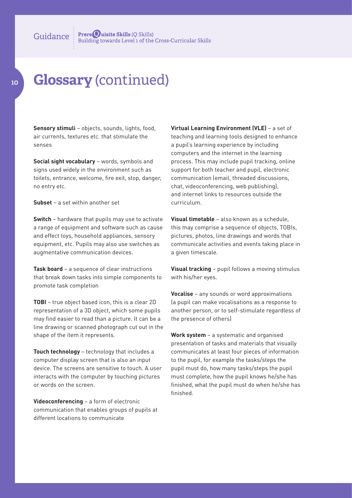### **Glossary** (continued)

**Sensory stimuli** – objects, sounds, lights, food, air currents, textures etc. that stimulate the senses

**Social sight vocabulary** – words, symbols and signs used widely in the environment such as toilets, entrance, welcome, fire exit, stop, danger, no entry etc.

**Subset** – a set within another set

**Switch** – hardware that pupils may use to activate a range of equipment and software such as cause and effect toys, household appliances, sensory equipment, etc. Pupils may also use switches as augmentative communication devices.

**Task board** – a sequence of clear instructions that break down tasks into simple components to promote task completion

**TOBI** – true object based icon, this is a clear 2D representation of a 3D object, which some pupils may find easier to read than a picture. It can be a line drawing or scanned photograph cut out in the shape of the item it represents.

**Touch technology** – technology that includes a computer display screen that is also an input device. The screens are sensitive to touch. A user interacts with the computer by touching pictures or words on the screen.

**Videoconferencing** – a form of electronic communication that enables groups of pupils at different locations to communicate

**Virtual Learning Environment (VLE)** – a set of teaching and learning tools designed to enhance a pupil's learning experience by including computers and the internet in the learning process. This may include pupil tracking, online support for both teacher and pupil, electronic communication (email, threaded discussions, chat, videoconferencing, web publishing), and internet links to resources outside the curriculum.

**Visual timetable** – also known as a schedule, this may comprise a sequence of objects, TOBIs, pictures, photos, line drawings and words that communicate activities and events taking place in a given timescale.

**Visual tracking** – pupil follows a moving stimulus with his/her eyes.

**Vocalise** – any sounds or word approximations (a pupil can make vocalisations as a response to another person, or to self-stimulate regardless of the presence of others)

**Work system** – a systematic and organised presentation of tasks and materials that visually communicates at least four pieces of information to the pupil, for example the tasks/steps the pupil must do, how many tasks/steps the pupil must complete, how the pupil knows he/she has finished, what the pupil must do when he/she has finished.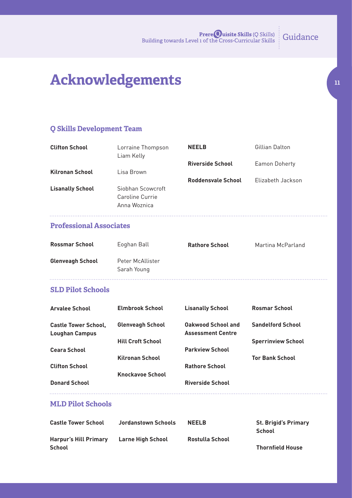### **Acknowledgements**

#### **Q Skills Development Team**

| <b>Clifton School</b>   | Lorraine Thompson<br>Liam Kelly | <b>NEELB</b>            | Gillian Dalton    |
|-------------------------|---------------------------------|-------------------------|-------------------|
|                         |                                 | <b>Riverside School</b> | Eamon Doherty     |
| <b>Kilronan School</b>  | Lisa Brown                      |                         |                   |
|                         |                                 | Roddensvale School      | Elizabeth Jackson |
| <b>Lisanally School</b> | Siobhan Scowcroft               |                         |                   |
|                         | Caroline Currie                 |                         |                   |
|                         | Anna Woznica                    |                         |                   |
|                         |                                 |                         |                   |

#### **Professional Associates**

| <b>Rossmar School</b>   | Eoghan Ball                     | <b>Rathore School</b> | Martina McParland |
|-------------------------|---------------------------------|-----------------------|-------------------|
| <b>Glenveagh School</b> | Peter McAllister<br>Sarah Young |                       |                   |

#### **SLD Pilot Schools**

| <b>Arvalee School</b>                                | <b>Elmbrook School</b>   | <b>Lisanally School</b>                               | <b>Rosmar School</b>      |
|------------------------------------------------------|--------------------------|-------------------------------------------------------|---------------------------|
| <b>Castle Tower School,</b><br><b>Loughan Campus</b> | <b>Glenveagh School</b>  | <b>Oakwood School and</b><br><b>Assessment Centre</b> | <b>Sandelford School</b>  |
|                                                      | <b>Hill Croft School</b> |                                                       | <b>Sperrinview School</b> |
| <b>Ceara School</b>                                  |                          | <b>Parkview School</b>                                |                           |
|                                                      | <b>Kilronan School</b>   |                                                       | <b>Tor Bank School</b>    |
| <b>Clifton School</b>                                |                          | <b>Rathore School</b>                                 |                           |
|                                                      | <b>Knockavoe School</b>  |                                                       |                           |
| <b>Donard School</b>                                 |                          | <b>Riverside School</b>                               |                           |
|                                                      |                          |                                                       |                           |

#### **MLD Pilot Schools**

| <b>Castle Tower School</b>                    | Jordanstown Schools | <b>NEELB</b>    | <b>St. Brigid's Primary</b><br><b>School</b> |
|-----------------------------------------------|---------------------|-----------------|----------------------------------------------|
| <b>Harpur's Hill Primary</b><br><b>School</b> | Larne High School   | Rostulla School | <b>Thornfield House</b>                      |